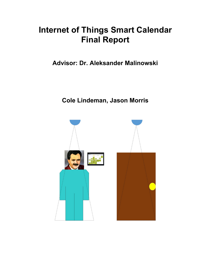# **Internet of Things Smart Calendar Final Report**

**Advisor: Dr. Aleksander Malinowski**

**Cole Lindeman, Jason Morris**

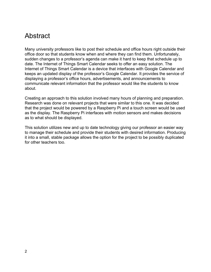## <span id="page-1-0"></span>Abstract

Many university professors like to post their schedule and office hours right outside their office door so that students know when and where they can find them. Unfortunately, sudden changes to a professor's agenda can make it hard to keep that schedule up to date. The Internet of Things Smart Calendar seeks to offer an easy solution. The Internet of Things Smart Calendar is a device that interfaces with Google Calendar and keeps an updated display of the professor's Google Calendar. It provides the service of displaying a professor's office hours, advertisements, and announcements to communicate relevant information that the professor would like the students to know about.

Creating an approach to this solution involved many hours of planning and preparation. Research was done on relevant projects that were similar to this one. It was decided that the project would be powered by a Raspberry Pi and a touch screen would be used as the display. The Raspberry Pi interfaces with motion sensors and makes decisions as to what should be displayed.

This solution utilizes new and up to date technology giving our professor an easier way to manage their schedule and provide their students with desired information. Producing it into a small, stable package allows the option for the project to be possibly duplicated for other teachers too.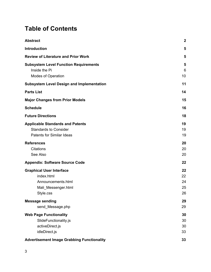## **Table of Contents**

| <b>Abstract</b>                                                                                             | $\mathbf 2$                |
|-------------------------------------------------------------------------------------------------------------|----------------------------|
| <b>Introduction</b>                                                                                         | 5                          |
| <b>Review of Literature and Prior Work</b>                                                                  | 5                          |
| <b>Subsystem Level Function Requirements</b><br>Inside the Pi<br>Modes of Operation                         | 5<br>6<br>10               |
| <b>Subsystem Level Design and Implementation</b>                                                            | 11                         |
| <b>Parts List</b>                                                                                           | 14                         |
| <b>Major Changes from Prior Models</b>                                                                      | 15                         |
| <b>Schedule</b>                                                                                             | 16                         |
| <b>Future Directions</b>                                                                                    | 18                         |
| <b>Applicable Standards and Patents</b><br><b>Standards to Consider</b><br><b>Patents for Similar Ideas</b> | 19<br>19<br>19             |
| <b>References</b><br><b>Citations</b><br>See Also                                                           | 20<br>20<br>20             |
| <b>Appendix: Software Source Code</b>                                                                       | 22                         |
| <b>Graphical User Interface</b><br>index.html<br>Announcements.html<br>Mali_Messenger.html<br>Style.css     | 22<br>22<br>24<br>25<br>26 |
| <b>Message sending</b><br>send_Message.php                                                                  | 29<br>29                   |
| <b>Web Page Functionality</b><br>SlideFunctionality.js<br>activeDirect.js<br>idleDirect.js                  | 30<br>30<br>30<br>33       |
| <b>Advertisement Image Grabbing Functionality</b>                                                           | 33                         |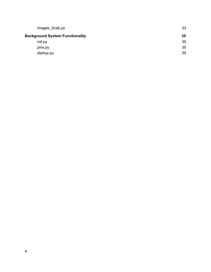| images_Grab.py                         | 33 |
|----------------------------------------|----|
| <b>Background System Functionality</b> | 35 |
| init.py                                | 35 |
| pins.py                                | 35 |
| startup.py                             | 39 |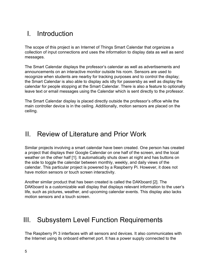## <span id="page-4-1"></span>I. Introduction

The scope of this project is an Internet of Things Smart Calendar that organizes a collection of input connections and uses the information to display data as well as send messages.

The Smart Calendar displays the professor's calendar as well as advertisements and announcements on an interactive monitor outside his room. Sensors are used to recognize when students are nearby for tracking purposes and to control the display; the Smart Calendar is also able to display ads idly for passersby as well as display the calendar for people stopping at the Smart Calendar. There is also a feature to optionally leave text or email messages using the Calendar which is sent directly to the professor.

The Smart Calendar display is placed directly outside the professor's office while the main controller device is in the ceiling. Additionally, motion sensors are placed on the ceiling.

### <span id="page-4-2"></span>II. Review of Literature and Prior Work

Similar projects involving a smart calendar have been created. One person has created a project that displays their Google Calendar on one half of the screen, and the local weather on the other half [1]. It automatically shuts down at night and has buttons on the side to toggle the calendar between monthly, weekly, and daily views of the calendar. This particular project is powered by a Raspberry Pi. However, it does not have motion sensors or touch screen interactivity.

Another similar product that has been created is called the DAKboard [2]. The DAKboard is a customizable wall display that displays relevant information to the user's life, such as pictures, weather, and upcoming calendar events. This display also lacks motion sensors and a touch screen.

## <span id="page-4-0"></span>III. Subsystem Level Function Requirements

The Raspberry Pi 3 interfaces with all sensors and devices. It also communicates with the Internet using its onboard ethernet port. It has a power supply connected to the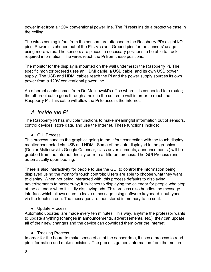power inlet from a 120V conventional power line. The Pi rests inside a protective case in the ceiling.

The wires coming in/out from the sensors are attached to the Raspberry Pi's digital I/O pins. Power is siphoned out of the Pi's Vcc and Ground pins for the sensors' usage using more wires. The sensors are placed in necessary positions to be able to track required information. The wires reach the Pi from these positions.

The monitor for the display is mounted on the wall underneath the Raspberry Pi. The specific monitor ordered uses an HDMI cable, a USB cable, and its own USB power supply. The USB and HDMI cables reach the Pi and the power supply sources its own power from a 120V conventional power line.

An ethernet cable comes from Dr. Malinowski's office where it is connected to a router; the ethernet cable goes through a hole in the concrete wall in order to reach the Raspberry Pi. This cable will allow the Pi to access the Internet.

### <span id="page-5-0"></span>*A. Inside the Pi*

The Raspberry Pi has multiple functions to make meaningful information out of sensors, control devices, store data, and use the Internet. These functions include:

● GUI Process

This process handles the graphics going to the in/out connection with the touch display monitor connected via USB and HDMI. Some of the data displayed in the graphics (Doctor Malinowski's Google Calendar, class advertisements, announcements.) will be grabbed from the Internet directly or from a different process. The GUI Process runs automatically upon booting.

There is also interactivity for people to use the GUI to control the information being displayed using the monitor's touch controls; Users are able to choose what they want to display. When not being interacted with, this process defaults to displaying advertisements to passers-by; it switches to displaying the calendar for people who stop at the calendar when it is idly displaying ads. This process also handles the message interface which allows users to leave a message using software keyboard input typed via the touch screen. The messages are then stored in memory to be sent.

● Update Process

Automatic updates are made every ten minutes. This way, anytime the professor wants to update anything (changes in announcements, advertisements, etc.), they can update all of their new changes and the device can download them over the Internet.

• Tracking Process

In order for the board to make sense of all of the sensor data, it uses a process to read pin information and make decisions. The process gathers information from the motion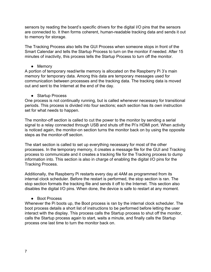sensors by reading the board's specific drivers for the digital I/O pins that the sensors are connected to. It then forms coherent, human-readable tracking data and sends it out to memory for storage.

The Tracking Process also tells the GUI Process when someone stops in front of the Smart Calendar and tells the Startup Process to turn on the monitor if needed. After 15 minutes of inactivity, this process tells the Startup Process to turn off the monitor.

• Memory

A portion of temporary read/write memory is allocated on the Raspberry Pi 3's main memory for temporary data. Among this data are temporary messages used for communication between processes and the tracking data. The tracking data is moved out and sent to the Internet at the end of the day.

● Startup Process

One process is not continually running, but is called whenever necessary for transitional periods. This process is divided into four sections; each section has its own instruction set for what needs to happen.

The monitor-off section is called to cut the power to the monitor by sending a serial signal to a relay connected through USB and shuts off the Pi's HDMI port. When activity is noticed again, the monitor-on section turns the monitor back on by using the opposite steps as the monitor-off section.

The start section is called to set up everything necessary for most of the other processes. In the temporary memory, it creates a message file for the GUI and Tracking process to communicate and it creates a tracking file for the Tracking process to dump information into. This section is also in charge of enabling the digital I/O pins for the Tracking Process.

Additionally, the Raspberry Pi restarts every day at 4AM as programmed from its internal clock scheduler. Before the restart is performed, the stop section is ran. The stop section formats the tracking file and sends it off to the Internet. This section also disables the digital I/O pins. When done, the device is safe to restart at any moment.

● Boot Process

Whenever the Pi boots up, the Boot process is ran by the internal clock scheduler. The boot process details a short list of instructions to be performed before letting the user interact with the display. This process calls the Startup process to shut off the monitor, calls the Startup process again to start, waits a minute, and finally calls the Startup process one last time to turn the monitor back on.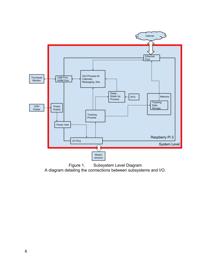

Figure 1. Subsystem Level Diagram A diagram detailing the connections between subsystems and I/O.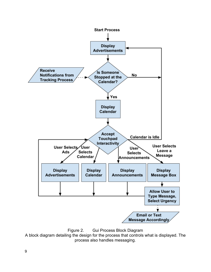

Figure 2. Gui Process Block Diagram

A block diagram detailing the design for the process that controls what is displayed. The process also handles messaging.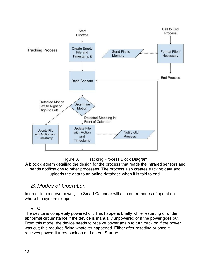



A block diagram detailing the design for the process that reads the infrared sensors and sends notifications to other processes. The process also creates tracking data and uploads the data to an online database when it is told to end.

### <span id="page-9-0"></span>*B. Modes of Operation*

In order to conserve power, the Smart Calendar will also enter modes of operation where the system sleeps.

● Off

The device is completely powered off. This happens briefly while restarting or under abnormal circumstance if the device is manually unpowered or if the power goes out. From this mode, the device needs to receive power again to turn back on if the power was cut; this requires fixing whatever happened. Either after resetting or once it receives power, it turns back on and enters Startup.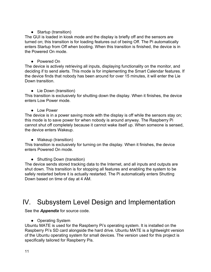### • Startup (transition)

The GUI is loaded in kiosk mode and the display is briefly off and the sensors are turned on; this transition is for loading features out of being Off. The Pi automatically enters Startup from Off when booting. When this transition is finished, the device is in the Powered On mode.

### ● Powered On

The device is actively retrieving all inputs, displaying functionality on the monitor, and deciding if to send alerts. This mode is for implementing the Smart Calendar features. If the device finds that nobody has been around for over 15 minutes, it will enter the Lie Down transition.

### • Lie Down (transition)

This transition is exclusively for shutting down the display. When it finishes, the device enters Low Power mode.

### ● Low Power

The device is in a power saving mode with the display is off while the sensors stay on; this mode is to save power for when nobody is around anyway. The Raspberry Pi cannot shut off completely because it cannot wake itself up. When someone is sensed, the device enters Wakeup.

### ● Wakeup (transition)

This transition is exclusively for turning on the display. When it finishes, the device enters Powered On mode.

### • Shutting Down (transition)

The device sends stored tracking data to the Internet, and all inputs and outputs are shut down. This transition is for stopping all features and enabling the system to be safely restarted before it is actually restarted. The Pi automatically enters Shutting Down based on time of day at 4 AM.

## <span id="page-10-0"></span>IV. Subsystem Level Design and Implementation

See the *[Appendix](#page-21-1)* for source code.

• Operating System

Ubuntu MATE is used for the Raspberry Pi's operating system. It is installed on the Raspberry Pi's SD card alongside the hard drive. Ubuntu MATE is a lightweight version of the Ubuntu operating system for small devices. The version used for this project is specifically tailored for Raspberry Pis.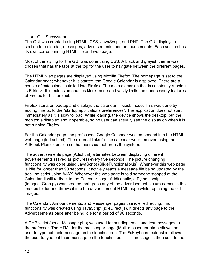#### ● GUI Subsystem

The GUI was created using HTML, CSS, JavaScript, and PHP. The GUI displays a section for calendar, messages, advertisements, and announcements. Each section has its own corresponding HTML file and web page.

Most of the styling for the GUI was done using CSS. A black and grayish theme was chosen that has the tabs at the top for the user to navigate between the different pages.

The HTML web pages are displayed using Mozilla Firefox. The homepage is set to the Calendar page; whenever it is started, the Google Calendar is displayed. There are a couple of extensions installed into Firefox. The main extension that is constantly running is R-kiosk; this extension enables kiosk mode and vastly limits the unnecessary features of Firefox for this project.

Firefox starts on bootup and displays the calendar in kiosk mode. This was done by adding Firefox to the "startup applications preferences". The application does not start immediately as it is slow to load. While loading, the device shows the desktop, but the monitor is disabled and inoperable, so no user can actually see the display on when it is not running Firefox.

For the Calendar page, the professor's Google Calendar was embedded into the HTML web page (index.html). The external links for the calendar were removed using the AdBlock Plus extension so that users cannot break the system.

The advertisements page (Ads.html) alternates between displaying different advertisements (saved as pictures) every five seconds. The picture changing functionality was done using JavaScript (SlideFunctionality.js). Whenever this web page is idle for longer than 90 seconds, it actively reads a message file being updated by the tracking script using AJAX. Whenever the web page is told someone stopped at the Calendar, it will redirect to the Calendar page. Additionally, a Python script (images\_Grab.py) was created that grabs any of the advertisement picture names in the images folder and throws it into the advertisement HTML page while replacing the old images.

The Calendar, Announcements, and Messenger pages use idle redirecting; this functionality was created using JavaScript (idleDirect.js). It directs any page to the Advertisements page after being idle for a period of 90 seconds.

A PHP script (send\_Message.php) was used for sending email and text messages to the professor. The HTML for the messenger page (Mali\_messenger.html) allows the user to type out their message on the touchscreen. The FxKeyboard extension allows the user to type out their message on the touchscreen.This message is then sent to the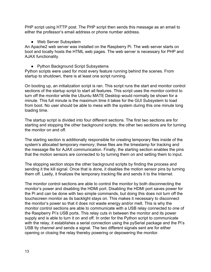PHP script using HTTP post. The PHP script then sends this message as an email to either the professor's email address or phone number address.

• Web Server Subsystem

An Apache2 web server was installed on the Raspberry Pi. The web server starts on boot and locally hosts the HTML web pages. The web server is necessary for PHP and AJAX functionality.

• Python Background Script Subsystems

Python scripts were used for most every feature running behind the scenes. From startup to shutdown, there is at least one script running.

On booting up, an initialization script is ran. This script runs the start and monitor control sections of the startup script to start all features. This script uses the monitor control to turn off the monitor while the Ubuntu MATE Desktop would normally be shown for a minute. This full minute is the maximum time it takes for the GUI Subsystem to load from boot. No user should be able to mess with the system during this one minute long loading time.

The startup script is divided into four different sections. The first two sections are for starting and stopping the other background scripts; the other two sections are for turning the monitor on and off.

The starting section is additionally responsible for creating temporary files inside of the system's allocated temporary memory; these files are the timestamp for tracking and the message file for AJAX communication. Finally, the starting section enables the pins that the motion sensors are connected to by turning them on and setting them to input.

The stopping section stops the other background scripts by finding the process and sending it the kill signal. Once that is done, it disables the motion sensor pins by turning them off. Lastly, it finalizes the temporary tracking file and sends it to the Internet.

The monitor control sections are able to control the monitor by both disconnecting the monitor's power and disabling the HDMI port. Disabling the HDMI port saves power for the Pi and can be done with two simple commands, but doing this does not turn off the touchscreen monitor as its backlight stays on. This makes it necessary to disconnect the monitor's power so that it does not waste energy and/or melt. This is why the monitor control sections are able to communicate with a USB relay connected to one of the Raspberry Pi's USB ports. This relay cuts in between the monitor and its power supply and is able to turn it on and off. In order for the Python script to communicate with the relay, it establishes a serial connection using the pySerial package and the Pi's USB tty channel and sends a signal. The two different signals sent are for either opening or closing the relay thereby powering or depowering the monitor.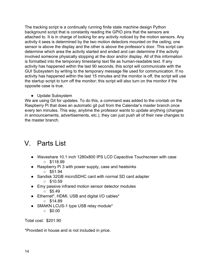The tracking script is a continually running finite state machine design Python background script that is constantly reading the GPIO pins that the sensors are attached to. It is in charge of looking for any activity noticed by the motion sensors. Any activity it sees is determined by the two motion detectors mounted on the ceiling; one sensor is above the display and the other is above the professor's door. This script can determine which area the activity started and ended and can determine if the activity involved someone physically stopping at the door and/or display. All of this information is formatted into the temporary timestamp text file as human-readable text. If any activity has happened within the last 90 seconds, this script will communicate with the GUI Subsystem by writing to the temporary message file used for communication. If no activity has happened within the last 15 minutes and the monitor is off, the script will use the startup script to turn off the monitor; this script will also turn on the monitor if the opposite case is true.

● Update Subsystem

We are using Git for updates. To do this, a command was added to the crontab on the Raspberry Pi that does an automatic git pull from the Calendar's master branch once every ten minutes. This way, anytime the professor wants to update anything (changes in announcements, advertisements, etc.), they can just push all of their new changes to the master branch.

## <span id="page-13-0"></span>V. Parts List

- Waveshare 10.1 inch 1280x800 IPS LCD Capacitive Touchscreen with case  $\circ$  \$118.99
- Raspberry Pi 3 with power supply, case and heatsinks

 $\circ$  \$51.94

- Sandisk 32GB microSDHC card with normal SD card adapter
	- $\circ$  \$10.59
- Emy passive infrared motion sensor detector modules
	- $\circ$  \$5.49
- Ethernet\*, HDMI, USB and digital I/O cables\*
	- $\circ$  \$14.89
- SMAKN LCUS-1 type USB relay module\*
	- $\circ$  \$0.00

Total cost: \$201.90

\*Provided in house and is not included in price.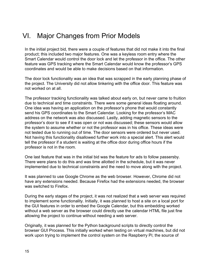## <span id="page-14-0"></span>VI. Major Changes from Prior Models

In the initial project bid, there were a couple of features that did not make it into the final product; this included two major features. One was a keyless room entry where the Smart Calendar would control the door lock and let the professor in the office. The other feature was GPS tracking where the Smart Calendar would know the professor's GPS coordinates and would be able to make decisions based on that information.

The door lock functionality was an idea that was scrapped in the early planning phase of the project. The University did not allow tinkering with the office door. This feature was not worked on at all.

The professor tracking functionality was talked about early on, but never came to fruition due to technical and time constraints. There were some general ideas floating around. One idea was having an application on the professor's phone that would constantly send his GPS coordinates to the Smart Calendar. Looking for the professor's MAC address on the network was also discussed. Lastly, adding magnetic sensors to the professor's door to see if it was open or not was discussed; these sensors would allow the system to assume whether or not the professor was in his office. These ideas were not tested due to running out of time. The door sensors were ordered but never used. Not having this functionality disallowed further work into a special alert. This alert would tell the professor if a student is waiting at the office door during office hours if the professor is not in the room.

One last feature that was in the initial bid was the feature for ads to follow passersby. There were plans to do this and was time allotted in the schedule, but it was never implemented due to technical constraints and the need to move along with the project.

It was planned to use Google Chrome as the web browser. However, Chrome did not have any extensions needed. Because Firefox had the extensions needed, the browser was switched to Firefox.

During the early stages of the project, it was not realized that a web server was required to implement some functionality. Initially, it was planned to host a site on a local port for the GUI features in order to embed the Google Calendar, but this embedding worked without a web server as the browser could directly use the calendar HTML file just fine allowing the project to continue without needing a web server.

Originally, it was planned for the Python background scripts to directly control the browser GUI Process. This initially worked when testing on virtual machines, but did not work upon trying to implement the control system on the Raspberry Pi; the source of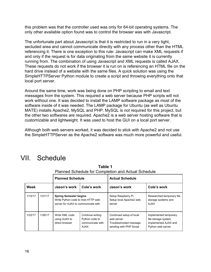this problem was that the controller used was only for 64-bit operating systems. The only other available option found was to control the browser was with Javascript.

The unfortunate part about Javascript is that it is restricted to run in a very tight, secluded area and cannot communicate directly with any process other than the HTML referencing it. There is one exception to this rule: Javascript can make XML requests if and only if the request is for data originating from the same website it is currently running from. The combination of using Javascript and XML requests is called AJAX. These requests do not work if the browser it is run on is referencing an HTML file on the hard drive instead of a website with the same files. A quick solution was using the SimpleHTTPServer Python module to create a script and throwing everything onto that local port server.

Around the same time, work was being done on PHP scripting to email and text messages from the system. This required a web server because PHP scripts will not work without one. It was decided to install the LAMP software package as most of the software inside of it was needed. The LAMP package for Ubuntu (as well as Ubuntu MATE) installs Apache2, MySQL and PHP. MySQL is not required for this project, but the other two softwares are required. Apache2 is a web server hosting software that is customizable and lightweight. It was used to host the GUI on a local port server.

Although both web servers worked, it was decided to stick with Apache2 and not use the SimpleHTTPServer as the Apache2 software was much more powerful and useful.

## <span id="page-15-0"></span>VII. Schedule

|         |         | <b>Tamba Concadio Tor Completion and Actual Concadio</b>                                                   |                                                                       |                                                                                             |                                                                                           |
|---------|---------|------------------------------------------------------------------------------------------------------------|-----------------------------------------------------------------------|---------------------------------------------------------------------------------------------|-------------------------------------------------------------------------------------------|
|         |         | <b>Planned Schedule</b>                                                                                    |                                                                       | <b>Actual Schedule</b>                                                                      |                                                                                           |
| Week    |         | Jason's work                                                                                               | Cole's work                                                           | Jason's work                                                                                | Cole's work                                                                               |
| 1/15/17 | 1/21/17 | <b>Spring Semester begins</b><br>Write Python code to host HTTP web<br>server for AJAX to communicate with |                                                                       | Setup Raspberry Pi<br>Setup local Apache2 web<br>server                                     | Researched temporary file<br>storage systems and<br><b>AJAX</b>                           |
| 1/22/17 | 1/28/17 | Write XML code<br>using AJAX to<br>direct browser                                                          | Continue writing<br>Python code to<br>communicate with<br><b>AJAX</b> | Continued setup of local<br>web server<br>Troubleshooted message<br>sending with PHP Script | Implemented temporary<br>file storage system<br>Implemented AJAX and<br>Python web server |

**Table 1** Planned Schedule for Completion and Actual Schedule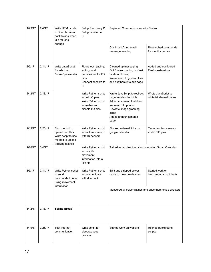| 1/29/17           | 2/4/17                                                               | Write HTML code<br>to direct browser<br>back to ads when<br>idle for long      | Setup Raspberry Pi<br>Setup monitor for<br>Pi                                                       | Replaced Chrome browser with Firefox                                                                                                                                           |                                                |
|-------------------|----------------------------------------------------------------------|--------------------------------------------------------------------------------|-----------------------------------------------------------------------------------------------------|--------------------------------------------------------------------------------------------------------------------------------------------------------------------------------|------------------------------------------------|
|                   |                                                                      | enough                                                                         |                                                                                                     | Continued fixing email<br>message sending                                                                                                                                      | Researched commands<br>for monitor control     |
| 2/5/17            | 2/11/17                                                              | Write JavaScript<br>for ads that<br>"follow" passersby                         | Figure out reading,<br>writing, and<br>permissions for I/O<br>pins<br>Connect sensors to<br>Pi      | Cleaned up messaging<br>Got Firefox running in Kiosk<br>mode on bootup<br>Wrote script to grab ad files<br>and put them into ads page                                          | Added and configured<br>Firefox extensions     |
| 2/12/17           | 2/18/17                                                              |                                                                                | Write Python script<br>to poll I/O pins<br>Write Python script<br>to enable and<br>disable I/O pins | Wrote JavaScript to redirect<br>page to calendar if idle<br>Added command that does<br>frequent Git updates<br>Rewrote image grabbing<br>script<br>Added announcements<br>page | Wrote JavaScript to<br>whitelist allowed pages |
| 2/19/17           | 2/25/17                                                              | Find method to<br>upload text files<br>Write script to use<br>method to upload | Write Python script<br>to track movement<br>with IR sensors                                         | Blocked external links on<br>google calendar                                                                                                                                   | Tested motion sensors<br>and GPIO pins         |
| 2/26/17           | 3/4/17                                                               | tracking text file                                                             | Write Python script<br>to compile<br>movement<br>information into a<br>text file                    | Talked to lab directors about mounting Smart Calendar                                                                                                                          |                                                |
| 3/5/17<br>3/11/17 | Write Python script<br>to send<br>commands to Ajax<br>using movement | Write Python script<br>to communicate<br>with door lock                        | Split and stripped power<br>cable to measure devices                                                | Started work on<br>background script drafts                                                                                                                                    |                                                |
|                   | information                                                          |                                                                                | Measured all power ratings and gave them to lab directors                                           |                                                                                                                                                                                |                                                |
| 3/12/17           | 3/18/17                                                              | <b>Spring Break</b>                                                            |                                                                                                     |                                                                                                                                                                                |                                                |
| 3/19/17           | 3/25/17                                                              | <b>Test Internet</b><br>communication                                          | Write script for<br>sleep/wakeup<br>process                                                         | Started work on website                                                                                                                                                        | Refined background<br>scripts                  |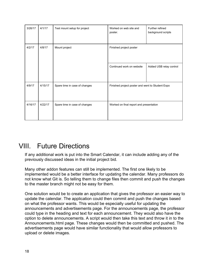| 3/26/17 | 4/1/17  | Test mount setup for project  | Worked on web site and<br>poster.                | Further refined<br>background scripts |
|---------|---------|-------------------------------|--------------------------------------------------|---------------------------------------|
| 4/2/17  | 4/8/17  | Mount project                 | Finished project poster                          |                                       |
|         |         |                               | Continued work on website                        | Added USB relay control               |
| 4/9/17  | 4/15/17 | Spare time in case of changes | Finished project poster and went to Student Expo |                                       |
| 4/16/17 | 4/22/17 | Spare time in case of changes | Worked on final report and presentation          |                                       |

## <span id="page-17-0"></span>VIII. Future Directions

If any additional work is put into the Smart Calendar, it can include adding any of the previously discussed ideas in the initial project bid.

Many other addon features can still be implemented. The first one likely to be implemented would be a better interface for updating the calendar. Many professors do not know what Git is. So telling them to change files then commit and push the changes to the master branch might not be easy for them.

One solution would be to create an application that gives the professor an easier way to update the calendar. The application could then commit and push the changes based on what the professor wants. This would be especially useful for updating the announcements and advertisements page. For the announcements page, the professor could type in the heading and text for each announcement. They would also have the option to delete announcements. A script would then take this text and throw it in to the Announcements.html page. These changes would then be committed and pushed. The advertisements page would have similar functionality that would allow professors to upload or delete images.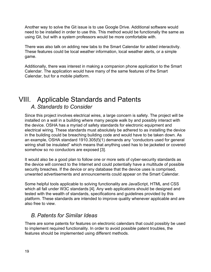Another way to solve the Git issue is to use Google Drive. Additional software would need to be installed in order to use this. This method would be functionally the same as using Git, but with a system professors would be more comfortable with.

There was also talk on adding new tabs to the Smart Calendar for added interactivity. These features could be local weather information, local weather alerts, or a simple game.

Additionally, there was interest in making a companion phone application to the Smart Calendar. The application would have many of the same features of the Smart Calendar, but for a mobile platform.

### <span id="page-18-1"></span>VIII. Applicable Standards and Patents *A. Standards to Consider*

<span id="page-18-0"></span>Since this project involves electrical wires, a large concern is safety. The project will be installed on a wall in a building where many people walk by and possibly interact with the device. OSHA has a myriad of safety standards for electronic equipment and electrical wiring. These standards must absolutely be adhered to as installing the device in the building could be breaching building code and would have to be taken down. As an example, OSHA standard 1910.305(f)(1) demands any "conductors used for general wiring shall be insulated" which means that anything used has to be jacketed or covered somehow so no conductors are exposed [3].

It would also be a good plan to follow one or more sets of cyber-security standards as the device will connect to the Internet and could potentially have a multitude of possible security breaches. If the device or any database that the device uses is comprised, unwanted advertisements and announcements could appear on the Smart Calendar.

Some helpful tools applicable to solving functionality are JavaScript, HTML and CSS which all fall under W3C standards [4]. Any web applications should be designed and tested with the wealth of standards, specifications and guidelines provided by this platform. These standards are intended to improve quality whenever applicable and are also free to view.

### <span id="page-18-2"></span>*B. Patents for Similar Ideas*

There are some patents for features on electronic calendars that could possibly be used to implement required functionality. In order to avoid possible patent troubles, the features should be implemented using different methods.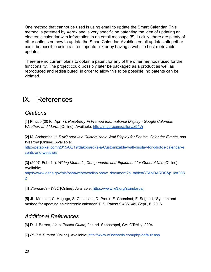One method that cannot be used is using email to update the Smart Calendar. This method is patented by Xerox and is very specific on patenting the idea of updating an electronic calendar with information in an email message [5]. Luckily, there are plenty of other options on how to update the Smart Calendar. Avoiding email updates altogether could be possible using a direct update link or by having a website host retrievable updates.

There are no current plans to obtain a patent for any of the other methods used for the functionality. The project could possibly later be packaged as a product as well as reproduced and redistributed; in order to allow this to be possible, no patents can be violated.

## <span id="page-19-1"></span>IX. References

### <span id="page-19-2"></span>*Citations*

[1] Kmccb (2016, Apr. 7). *Raspberry Pi Framed Informational Display - Google Calendar, Weather, and More..* [Online]. Available: <http://imgur.com/gallery/z94Vr>

[2] M. Archambault. *DAKboard Is a Customizable Wall Display for Photos, Calendar Events, and Weather* [Online]. Available:

[http://petapixel.com/2015/08/19/dakboard-is-a-C](http://petapixel.com/2015/08/19/dakboard-is-a-)ustomizable-wall-display-for-photos-calendar-e vents-and-weather/

[3] (2007, Feb. 14). *Wiring Methods, Components, and Equipment for General Use* [Online]. Available:

[https://www.osha.gov/pls/oshaweb/owadisp.show\\_document?](https://www.osha.gov/pls/oshaweb/owadisp.show_document)p\_table=STANDARDS&p\_id=988 2

[4] *Standards - W3C* [Online]. Available: <https://www.w3.org/standards/>

[5] JL. Meunier, C. Hagage, S. Castellani, D. Proux, E. Cheminot, F. Segond, "System and method for updating an electronic calendar*"* U.S. Patent 9 436 649, Sept., 6, 2016.

### <span id="page-19-0"></span>*Additional References*

[6] D. J. Barrett, *Linux Pocket Guide,* 2nd ed. Sebastopol, CA: O'Reilly, 2004.

[7] *PHP 5 Tutorial* [Online]. Available: <http://www.w3schools.com/php/default.asp>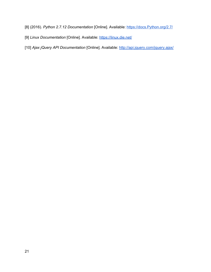[8] (2016). *Python 2.7.12 Documentation* [Online]. Available: [https://docs.Python.org/2.7/](https://docs.python.org/2.7/)

- [9] *Linux Documentation* [Online]*.* Available: <https://linux.die.net/>
- [10] *Ajax jQuery API Documentation* [Online]. Available: <http://api.jquery.com/jquery.ajax/>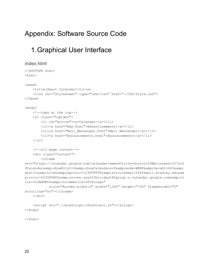## <span id="page-21-1"></span>Appendix: Software Source Code

## <span id="page-21-2"></span>1.Graphical User Interface

```
index.html
<!DOCTYPE html>
<html><head>
   <title>Smart Calendar</title>
   <link rel="stylesheet" type="text/css" href="./CSS/Style.css">
</head>
<body>
   <!--tabs at the top-->
   <ul class="toptabs">
       <li id="active"><a>Calendar</a></li>
        <li><a href="Ads.html">Advertisements</a></li>
        <li><a href="Mali_Messenger.html">Mali Messenger</a></li>
        <li><a href="Announcements.html">Announcements</a></li>
   \langle/ul\rangle<!--all page content-->
   <div class="content">
       <iframe
src="https://calendar.google.com/calendar/embed?title=Doctor%20Malinowski%27s%2
0Calendar& showPrint=0& showCalendars=0& mode=WEEK& height=600&
wkst=1&hl=en&bgcolor=%23FFFFFF&src=olekmali%40fsmail.bradley.edu&am
p;color=%235F6B02&src=en.usa%23holiday%40group.v.calendar.google.com&co
lor=%23AB8B00& ctz=America%2FChicago"
           style="border-width:0" width="1240" height="700" frameborder="0"
scrolling="no"></iframe>
   \langle div>
   <script src="./JavaScript/idleDirect.js"></script>
</body>
```
</html>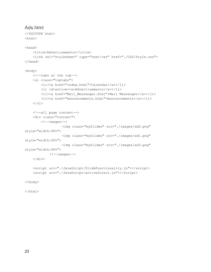### Ads.html

```
<!DOCTYPE html>
<html>
<head>
    <title>Advertisements</title>
    <link rel="stylesheet" type="text/css" href="./CSS/Style.css">
</head>
<body>
    <!--tabs at the top-->
    <ul class="toptabs">
        <li><a href="index.html">Calendar</a></li>
        <li id=active><a>Advertisements</a></li>
        <li><a href="Mali_Messenger.html">Mali Messenger</a></li>
        <li><a href="Announcements.html">Announcements</a></li>
    \langle \text{ul}\rangle<!--all page content-->
    <div class="content">
        \langle!--images-->
                   <img class="mySlides" src="./images/ad2.png"
style="width:96%">
                   <img class="mySlides" src="./images/ad1.png"
style="width:96%">
                   <img class="mySlides" src="./images/ad3.png"
style="width:96%">
            \langle!--images-->
    \langle /div>
    <script src="./JavaScript/SlideFunctionality.js"></script>
    <script src="./JavaScript/activeDirect.js"></script>
```
</body>

</html>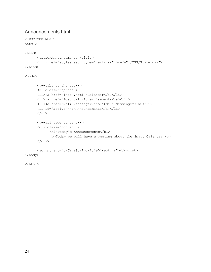### <span id="page-23-0"></span>Announcements.html

```
<!DOCTYPE html>
<html><head>
      <title>Announcements</title>
      <link rel="stylesheet" type="text/css" href="./CSS/Style.css">
</head>
<body>
      <!--tabs at the top-->
      <ul class="toptabs">
      <li><a href="index.html">Calendar</a></li>
      <li><a href="Ads.html">Advertisements</a></li>
      <li><a href="Mali_Messenger.html">Mali Messenger</a></li>
      <li id="active"><a>Announcements</a></li>
      \langle \rangleul><!--all page content-->
      <div class="content">
            <h1>Today's Announcements</h1>
            <p>Today we will have a meeting about the Smart Calendar</p>
      \langlediv\rangle<script src="./JavaScript/idleDirect.js"></script>
```
</body>

 $\langle$ /html $\rangle$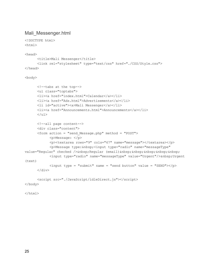### <span id="page-24-0"></span>Mali\_Messenger.html

```
<!DOCTYPE html>
<html>
```
<head>

```
<title>Mali Messenger</title>
      <link rel="stylesheet" type="text/css" href="./CSS/Style.css">
</head>
```
<body>

```
<!--tabs at the top-->
      <ul class="toptabs">
      <li><a href="index.html">Calendar</a></li>
      <li><a href="Ads.html">Advertisements</a></li>
      <li id="active"><a>Mali Messenger</a></li>
      <li><a href="Announcements.html">Announcements</a></li>
      \langle/ul>
      <!--all page content-->
      <div class="content">
      <form action = "send_Message.php" method = "POST">
            <p>Message: </p>
            <p>>>>>><textarea rows="9" cols="67" name="message"></textarea></p>
            <p>Message type: @nbsp;<input type="radio" name="messageType"
value="Regular" checked /> Regular (email)     
            <input type="radio" name="messageType" value="Urgent"/> Urgent
(text)
            \langleinput type = "submit" name = "send button" value = "SEND">\langle/p>
      \langlediv\rangle<script src="./JavaScript/idleDirect.js"></script>
```
</body>

</html>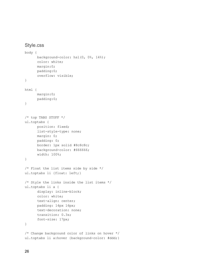### <span id="page-25-0"></span>Style.css

```
body {
      background-color: hsl(0, 0%, 14%);
      color: white;
      margin:0;
      padding:0;
      overflow: visible;
}
html {
      margin:0;
      padding:0;
}
/* top TABS STUFF */
ul.toptabs {
      position: fixed;
      list-style-type: none;
      margin: 0;
      padding: 0;
      border: 1px solid #8c8c8c;
      background-color: #666666;
      width: 100%;
}
/* Float the list items side by side */
ul.toptabs li {float: left;}
/* Style the links inside the list items */
ul.toptabs li a {
      display: inline-block;
      color: white;
      text-align: center;
      padding: 14px 16px;
      text-decoration: none;
      transition: 0.3s;
      font-size: 17px;
}
/* Change background color of links on hover */
ul.toptabs li a:hover {background-color: #ddd; }
```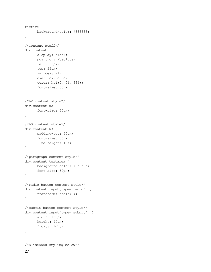```
#active {
      background-color: #333333;
}
/*Content stuff*/
div.content {
      display: block;
      position: absolute;
     left: 20px;
      top: 55px;
      z-index: -1;
      overflow: auto;
      color: hsl(0, 0%, 88%);
      font-size: 30px;
}
/*h2 content style*/
div.content h2 {
      font-size: 40px;
}
/*h3 content style*/
div.content h3 {
     padding-top: 50px;
     font-size: 35px;
      line-height: 10%;
}
/*paragraph content style*/
div.content textarea {
     background-color: #8c8c8c;
      font-size: 30px;
}
/*radio button content style*/
div.content input[type='radio'] {
      transform: scale(2);
}
/*submit button content style*/
div.content input[type='submit'] {
      width: 100px;
      height: 40px;
      float: right;
}
/*SlideShow styling below*/
```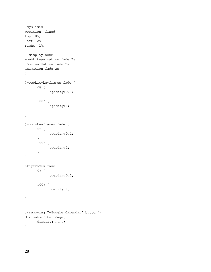```
.mySlides {
position: fixed;
top: 8%;
left: 2%;
right: 2%;
 display:none;
-webkit-animation:fade 2s;
-moz-animation:fade 2s;
animation:fade 2s;
}
@-webkit-keyframes fade {
      0% {
           opacity:0.1;
      }
      100% {
           opacity:1;
      }
}
@-moz-keyframes fade {
      0% {
            opacity:0.1;
      }
      100% {
            opacity:1;
      }
}
@keyframes fade {
      0% {
            opacity:0.1;
      }
      100% {
            opacity:1;
      }
}
/*removing "+Google Calendar" button*/
div.subscribe-image{
     display: none;
}
```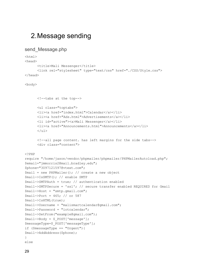### <span id="page-28-1"></span>2.Message sending

```
send Message.php
```
 $<$ html $>$ 

```
<head>
      <title>Mali Messenger</title>
      <link rel="stylesheet" type="text/css" href="./CSS/Style.css">
</head>
<body>
      <!--tabs at the top-->
      <ul class="toptabs">
      <li><a href="index.html">Calendar</a></li>
      <li><a href="Ads.html">Advertisements</a></li>
      <li id="active"><a>Mali Messenger</a></li>
      <li><a href="Announcements.html">Announcements</a></li>
      \langle/ul\rangle<!--all page content. has left margins for the side tabs-->
      <div class="content">
<?PHP
require "/home/jason/vendor/phpmailer/phpmailer/PHPMailerAutoload.php";
$email="jmmorris2@mail.bradley.edu";
$phone="3097121597@vtext.com";
$mail = new PHPMailer(); // create a new object
$mail->IsSMTP(); // enable SMTP
$mail->SMTPAuth = true; // authentication enabled
$mail->SMTPSecure = 'ssl'; // secure transfer enabled REQUIRED for Gmail
$mail->Host = "smtp.gmail.com";
$mail->Port = 465; // or 587
$mail->IsHTML(true);
$mail->Username = "malismartcalendar@gmail.com";
$mail->Password = "iotcalendar";
$mail->SetFrom("example@gmail.com");
$mail->Body = $_POST['message'];
$messageType=$_POST['messageType'];
if ($messageType == "Urgent"){
$mail->AddAddress($phone);
}
else
```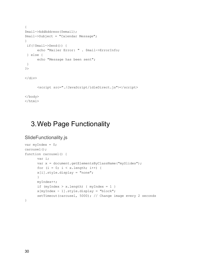```
{
$mail->AddAddress($email);
$mail->Subject = "Calendar Message";
}
if(!$mail->Send()) {
      echo "Mailer Error: " . $mail->ErrorInfo;
 } else {
      echo "Message has been sent";
}
?>
\langlediv>
      <script src="./JavaScript/idleDirect.js"></script>
</body>
</html>
```
## <span id="page-29-0"></span>3.Web Page Functionality

```
SlideFunctionality.js
```

```
var myIndex = 0;
carousel();
function carousel() {
      var i;
      var x = document.getElementsByClassName("mySlides");
      for (i = 0; i < x.length; i++) {
      x[i].style.display = "none";
      }
      myIndex++;
      if (myIndex > x.length) { myIndex = 1 }
      x[myIndex - 1].style.display = "block";
      setTimeout(carousel, 5000); // Change image every 2 seconds
}
```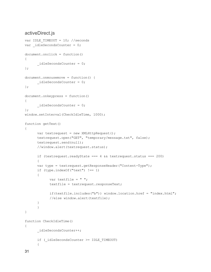### <span id="page-30-0"></span>activeDirect.js

```
var IDLE TIMEOUT = 10; //seconds
var idleSecondsCounter = 0;
document.onclick = function()
{
      idleSecondsCounter = 0;
};
document.onmousemove = function() {
      idleSecondsCounter = 0;
};
document.onkeypress = function()
{
      idleSecondsCounter = 0;
};
window.setInterval(CheckIdleTime, 1000);
function getText()
{
      var textrequest = new XMLHttpRequest();
      textrequest.open("GET", "temporary/message.txt", false);
      textrequest.send(null);
      //window.alert(textrequest.status);
      if (textrequest.readyState === 4 \& textrequest.status === 200)
      {
      var type = textrequest.getResponseHeader("Content-Type");
      if (type.indexOf("text") !== 1)
      {
            var textfile = " ";
            textfile = textrequest.responseText;
            if(textfile.includes("b")) window.location.href = "index.html";
            //else window.alert(textfile);
      }
      }
}
function CheckIdleTime()
{
      _idleSecondsCounter++;
      if (_idleSecondsCounter >= IDLE_TIMEOUT)
      {
```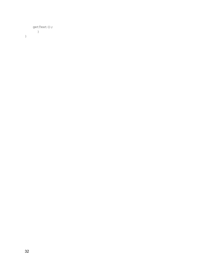```
getText();
      \qquad \}}
```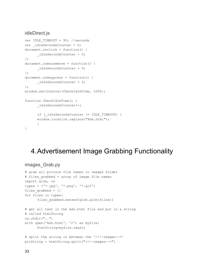### <span id="page-32-0"></span>idleDirect.js

```
var IDLE TIMEOUT = 90; //seconds
var idleSecondsCounter = 0;
document.onclick = function() {
      idleSecondsCounter = 0;
};
document.onmousemove = function() {
     idleSecondsCounter = 0;
};
document.onkeypress = function() {
      idleSecondsCounter = 0;
};
window.setInterval(CheckIdleTime, 1000);
function CheckIdleTime() {
      _idleSecondsCounter++;
      if (_idleSecondsCounter >= IDLE_TIMEOUT) {
      window.location.replace("Ads.html");
      }
}
```
## <span id="page-32-1"></span>4.Advertisement Image Grabbing Functionality

```
images_Grab.py
# grab all picture file names in images folder
# files grabbed = array of image file names
import glob, os
types = ('*.jpg', '*.png', '*.gif')
files grabbed = []
for files in types:
      files grabbed.extend(glob.glob(files))
# get all text in the Ads.html file and put in a string
# called htmlString
os.chdir("..")
with open('Ads.html', 'r') as myfile:
      htmlString=myfile.read()
# split the string in between the '<!--images-->'
picString = htmlString.split("<!--images-->")
```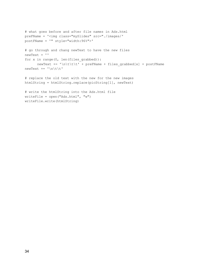```
# what goes before and after file names in Ads.html
preFName = '<img class="mySlides" src="./images/'
postFName = '" style="width:96%">'
# go through and chang newText to have the new files
newText = ''
for x in range(0, len(files grabbed)):
        newText += '\n\tt\to 'r\tt\to 'r\tt\to 'r\tt\to 'r\tt\to 'r\tt\to 'r\tt\to 'r\tt\to 'r\tt\to 'r\tt\to 'r\tt\to 'r\tt\to 'r\tt\to 'r\tt\to 'r\tt\to 'r\tt\to 'r\tt\to 'r\tt\to 'r\tt\to 'r\tt\to 'r\tt\to 'r\tt\to 'r\tt\to 'r\tt\to 'r\tt\to 'r\tt\to 'r\tt\to 'r\tt\to 'r\tt\to 'r\tt\to 'r\tt\to 'r\tt\to 'r\tt\to 'r\tt\to 'r\tt\to 'r\tt\to 'newText += '\n\t\t'
# replace the old text with the new for the new images
htmlString = htmlString.replace(picString[1], newText)
# write the htmlString into the Ads.html file
writeFile = open("Ads.html", "w")writeFile.write(htmlString)
```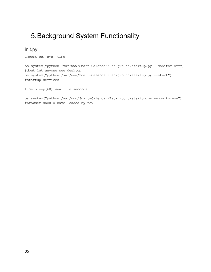## <span id="page-34-0"></span>5.Background System Functionality

<span id="page-34-1"></span>init.py

import os, sys, time

os.system("python /var/www/Smart-Calendar/Background/startup.py --monitor-off") #dont let anyone see desktop os.system("python /var/www/Smart-Calendar/Background/startup.py --start") #startup services

time.sleep(60) #wait in seconds

os.system("python /var/www/Smart-Calendar/Background/startup.py --monitor-on") #browser should have loaded by now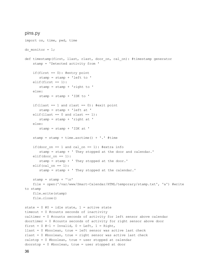#### <span id="page-35-0"></span>pins.py

```
import os, time, pwd, time
do monitor = 1;def timestamp(first, llast, rlast, door_on, cal_on): #timestamp generator
    stamp = 'Detected activity from '
    if(first == 0): #entry point
       stamp = stamp + 'left to '
    elif(first == 1):
       stamp = stamp + 'right to '
    else:
       stamp = stamp + 'IDK to '
    if(llast == 1 and rlast == 0): #exit point
       stamp = stamp + 'left at '
    elif(llast == 0 and rlast == 1):
       stamp = stamp + 'right at '
    else:
       stamp = stamp + 'IDK at '
    stamp = stamp + time.asctime() + \cdot \cdot #time
    if(door on == 1 and cal on == 1): #extra info
       stamp = stamp + ' They stopped at the door and calendar.'
    elif(door on == 1):
       stamp = stamp + ' They stopped at the door.'
    elif(cal on == 1):
       stamp = stamp + ' They stopped at the calendar.'
    stamp = stamp + '\nfile = open('/var/www/Smart-Calendar/HTML/temporary/stamp.txt', 'a') #write
to stamp
   file.write(stamp)
    file.close()
state = 0 #0 = idle state, 1 = active state
timeout = 0 #counts seconds of inactivity
caltimer = 0 #counts seconds of activity for left sensor above calendar
doortimer = 0 #counts seconds of activity for right sensor above door
first = 0 #-1 = Invalid, 0 = Left, 1 = Right,
llast = 0 #boolean, true = left sensor was active last check
rlast = 0 #boolean, true = right sensor was active last check
calstop = 0 #boolean, true = user stopped at calendar
doorstop = 0 #boolean, true = user stopped at door
```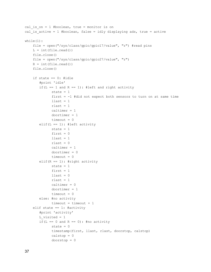```
cal is on = 1 #boolean, true = monitor is on
cal is active = 1 #boolean, false = idly displaying ads, true = active
while(1):
    file = open("/sys/class/gpio/gpio17/value", "r") #read pins
   L = int(file.read())file.close()
    file = open("/sys/class/gpio/gpio27/value", "r")
   R = int(file.read())file.close()
    if state == 0: #idle
       #print 'idle'
       if(L = 1 and R = = 1): #left and right activity
             state = 1first = -1 #did not expect both sensors to turn on at same time
             \text{llast} = 1rlast = 1
             caltimer = 1
             doortimer = 1
             timeout = 0elif(L == 1): #left activity
             state = 1first = 0\text{llast} = 1rlast = 0caltimer = 1
             doortimer = 0
             timeout = 0elif(R == 1): #right activity
             state = 1first = 1\text{llast} = 0rlast = 1
             caltimer = 0
             doortimer = 1
             timeout = 0else: #no activity
             timeout = timeout + 1elif state == 1: #activity
       #print 'activity'
       L visited = 1if(L == 0 and R == 0): #no activity
             state = 0timestamp(first, llast, rlast, doorstop, calstop)
             calstop = 0doorstop = 0
```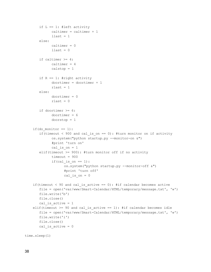```
if L == 1: #left activity
             calimer = caltimer + 1
             \text{llast} = 1else:
             caltimer = 0
             \text{llast} = 0if caltimer >= 4:
             caltimer = 4
             calstop = 1
       if R == 1: #right activity
             doortimer = doortimer + 1
             rlast = 1else:
             doortimer = 0
             rlast = 0if doortimer >= 6:
             doortimer = 6
             doorstop = 1
    if(do monitor == 1):
       if(timeout < 900 and cal is on == 0): #turn monitor on if activity
             os.system("python startup.py --monitor-on &")
             #print 'turn on'
             cal is on = 1elif(timeout >= 900): #turn monitor off if no activity
             timeout = 900if(cal_is_on == 1):
                   os.system("python startup.py --monitor-off &")
                    #print 'turn off'
                   cal is on = 0if(timeout < 90 and cal is active == 0): #if calendar becomes active
       file = open('var/www/Smart-Calendar/HTML/temporary/message.txt', 'w')
       file.write('b')
       file.close()
       cal is active = 1elif(timeout >= 90 and cal is active == 1): #if calendar becomes idle
       file = open('var/www/Smart-Calendar/HTML/temporary/message.txt', 'w')
       file.write('i')
       file.close()
       cal is active = 0time.sleep(1)
```

```
38
```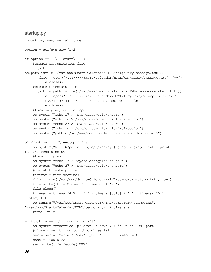#### <span id="page-38-0"></span>startup.py

```
import os, sys, serial, time
option = str(sys.argv[1:2])if(option == '(\n-start') ):
    #create communication file
    if(not
os.path.isfile('/var/www/Smart-Calendar/HTML/temporary/message.txt')):
       file = open('/var/www/Smart-Calendar/HTML/temporary/message.txt', 'w+')
       file.close()
    #create timestamp file
    if(not os.path.isfile('/var/www/Smart-Calendar/HTML/temporary/stamp.txt')):
       file = open('/var/www/Smart-Calendar/HTML/temporary/stamp.txt', 'w+')
       file.write('File Created ' + time.asctime() + '\n')
       file.close()
    #turn on pins, set to input
    os.system("echo 17 > /sys/class/gpio/export")
    os.system("echo in > /sys/class/gpio/gpio17/direction")
    os.system("echo 27 > /sys/class/gpio/export")
    os.system("echo in > /sys/class/gpio/gpio27/direction")
    os.system("python /var/www/Smart-Calendar/Background/pins.py &")
elif(option == '(\Upsilon - step\'']):
    os.system("kill $(ps -eF | grep pins.py | grep -v grep | awk '{print
$2}')") #end pins.py
    #turn off pins
    os.system("echo 17 > /sys/class/gpio/unexport")
    os.system("echo 27 > /sys/class/gpio/unexport")
    #format timestamp file
    \tt timevar = time. asctime()
    file = open('/var/www/Smart-Calendar/HTML/temporary/stamp.txt', 'a+')
    file.write('File Closed ' + timevar + '\n')
    file.close()
    timevar = timevar[4:7] + ' ' + timevar[8:10] + ' ' + timevar[20:] +
'_stamp.txt'
    os.rename("/var/www/Smart-Calendar/HTML/temporary/stamp.txt",
"/var/www/Smart-Calendar/HTML/temporary/" + timevar)
    #email file
elif(option == '[\n\cdot -\text{monitor-on}\n'] ):
    os.system("tvservice -p; chvt 6; chvt 7") #turn on HDMI port
    #close power to monitor through serial
    ser = serial.Serial('/dev/ttyUSB0', 9600, timeout=1)
    code = 'A00101A2'
    ser.write(code.decode('HEX'))
```